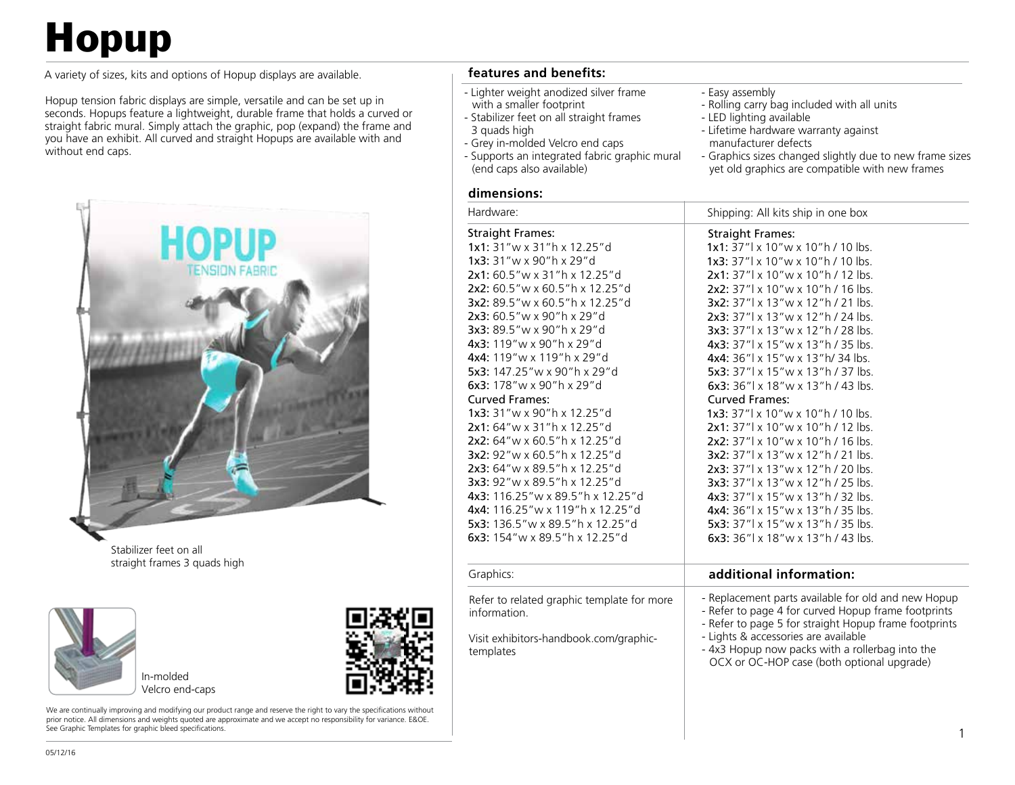# **Hopup**

A variety of sizes, kits and options of Hopup displays are available.

Hopup tension fabric displays are simple, versatile and can be set up in seconds. Hopups feature a lightweight, durable frame that holds a curved or straight fabric mural. Simply attach the graphic, pop (expand) the frame and you have an exhibit. All curved and straight Hopups are available with and without end caps.



Stabilizer feet on all straight frames 3 quads high



Velcro end-caps

We are continually improving and modifying our product range and reserve the right to vary the specifications without prior notice. All dimensions and weights quoted are approximate and we accept no responsibility for variance. E&OE. See Graphic Templates for graphic bleed specifications.

### **features and benefits:**

- Lighter weight anodized silver frame
- with a smaller footprint - Stabilizer feet on all straight frames
- 3 quads high
- Grey in-molded Velcro end caps
- Supports an integrated fabric graphic mural (end caps also available)
- Easy assembly
- Rolling carry bag included with all units
- LED lighting available
- Lifetime hardware warranty against manufacturer defects
- Graphics sizes changed slightly due to new frame sizes yet old graphics are compatible with new frames

#### **dimensions:**

| Hardware:                                                                                                                                                                                                                                                                                                                                                                                                                                                                                                                                                                                                                                                                                                                                      | Shipping: All kits ship in one box                                                                                                                                                                                                                                                                                                                                                                                                                                                                                                                                                                                                                                                                                                                                                                                                                                                                        |
|------------------------------------------------------------------------------------------------------------------------------------------------------------------------------------------------------------------------------------------------------------------------------------------------------------------------------------------------------------------------------------------------------------------------------------------------------------------------------------------------------------------------------------------------------------------------------------------------------------------------------------------------------------------------------------------------------------------------------------------------|-----------------------------------------------------------------------------------------------------------------------------------------------------------------------------------------------------------------------------------------------------------------------------------------------------------------------------------------------------------------------------------------------------------------------------------------------------------------------------------------------------------------------------------------------------------------------------------------------------------------------------------------------------------------------------------------------------------------------------------------------------------------------------------------------------------------------------------------------------------------------------------------------------------|
| <b>Straight Frames:</b><br>1x1: 31"w x 31"h x 12.25"d<br>1x3: 31"w x 90"h x 29"d<br>2x1: 60.5" w x 31" h x 12.25" d<br>2x2: 60.5"w x 60.5"h x 12.25"d<br>3x2: 89.5"w x 60.5"h x 12.25"d<br>2x3: 60.5"w x 90"h x 29"d<br>3x3: 89.5"w x 90"h x 29"d<br>4x3: 119"w x 90"h x 29"d<br>4x4: 119"w x 119"h x 29"d<br>5x3: 147.25"w x 90"h x 29"d<br>6x3: 178"w x 90"h x 29"d<br><b>Curved Frames:</b><br>1x3: 31"w x 90"h x 12.25"d<br>2x1: 64" w x 31" h x 12.25" d<br>2x2: 64"w x 60.5"h x 12.25"d<br>3x2: 92"w x 60.5"h x 12.25"d<br>2x3: 64"w x 89.5"h x 12.25"d<br>3x3: 92"w x 89.5"h x 12.25"d<br>4x3: 116.25" w x 89.5" h x 12.25" d<br>4x4: 116.25" w x 119" h x 12.25" d<br>5x3: 136.5"w x 89.5"h x 12.25"d<br>6x3: 154"w x 89.5"h x 12.25"d | <b>Straight Frames:</b><br>1x1: 37"  x 10" w x 10" h / 10 lbs.<br>1x3: 37"  x 10" w x 10" h / 10 lbs.<br>$2x1: 37''$ x 10" w x 10" h / 12 lbs.<br>2x2: 37"  x 10" w x 10" h / 16 lbs.<br>3x2: 37"  x 13" w x 12" h / 21 lbs.<br>2x3: 37"  x 13" w x 12" h / 24 lbs.<br>3x3: 37"  x 13" w x 12" h / 28 lbs.<br>4x3: 37"  x 15" w x 13" h / 35 lbs.<br>4x4: 36"   x 15" w x 13" h/ 34 lbs.<br>5x3: 37"  x 15" w x 13" h / 37 lbs.<br>6x3: $36''$ x 18" w x 13" h / 43 lbs.<br><b>Curved Frames:</b><br>1x3: 37"  x 10" w x 10" h / 10 lbs.<br>2x1: 37"  x 10" w x 10" h / 12 lbs.<br>2x2: 37"  x 10" w x 10" h / 16 lbs.<br>3x2: 37"  x 13" w x 12" h / 21 lbs.<br>2x3: 37"  x 13" w x 12" h / 20 lbs.<br>3x3: 37"  x 13" w x 12" h / 25 lbs.<br>4x3: 37"  x 15" w x 13" h / 32 lbs.<br>4x4: 36"  x 15" w x 13" h / 35 lbs.<br>5x3: 37"  x 15" w x 13" h / 35 lbs.<br>6x3: $36''$ x 18" w x 13" h / 43 lbs. |
| Graphics:                                                                                                                                                                                                                                                                                                                                                                                                                                                                                                                                                                                                                                                                                                                                      | additional information:                                                                                                                                                                                                                                                                                                                                                                                                                                                                                                                                                                                                                                                                                                                                                                                                                                                                                   |
| Refer to related graphic template for more<br>information.<br>Visit exhibitors-handbook.com/graphic-<br>templates                                                                                                                                                                                                                                                                                                                                                                                                                                                                                                                                                                                                                              | - Replacement parts available for old and new Hopup<br>- Refer to page 4 for curved Hopup frame footprints<br>- Refer to page 5 for straight Hopup frame footprints<br>- Lights & accessories are available<br>- 4x3 Hopup now packs with a rollerbag into the<br>OCX or OC-HOP case (both optional upgrade)                                                                                                                                                                                                                                                                                                                                                                                                                                                                                                                                                                                              |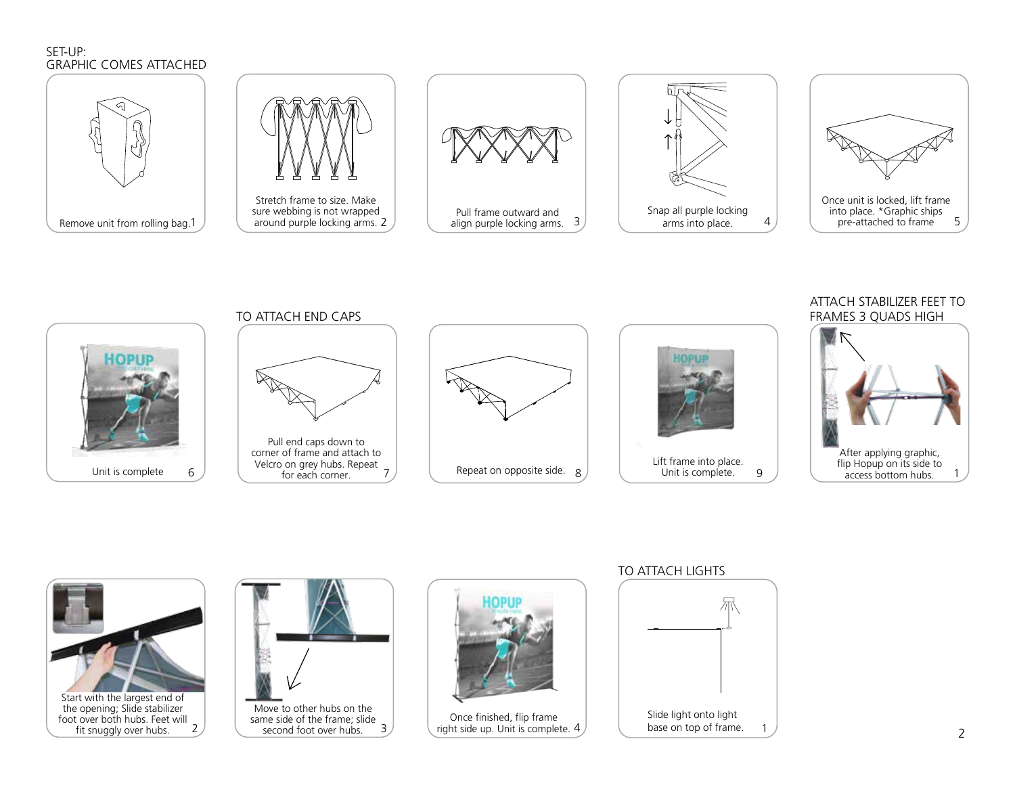#### SET-UP: GRAPHIC COMES ATTACHED



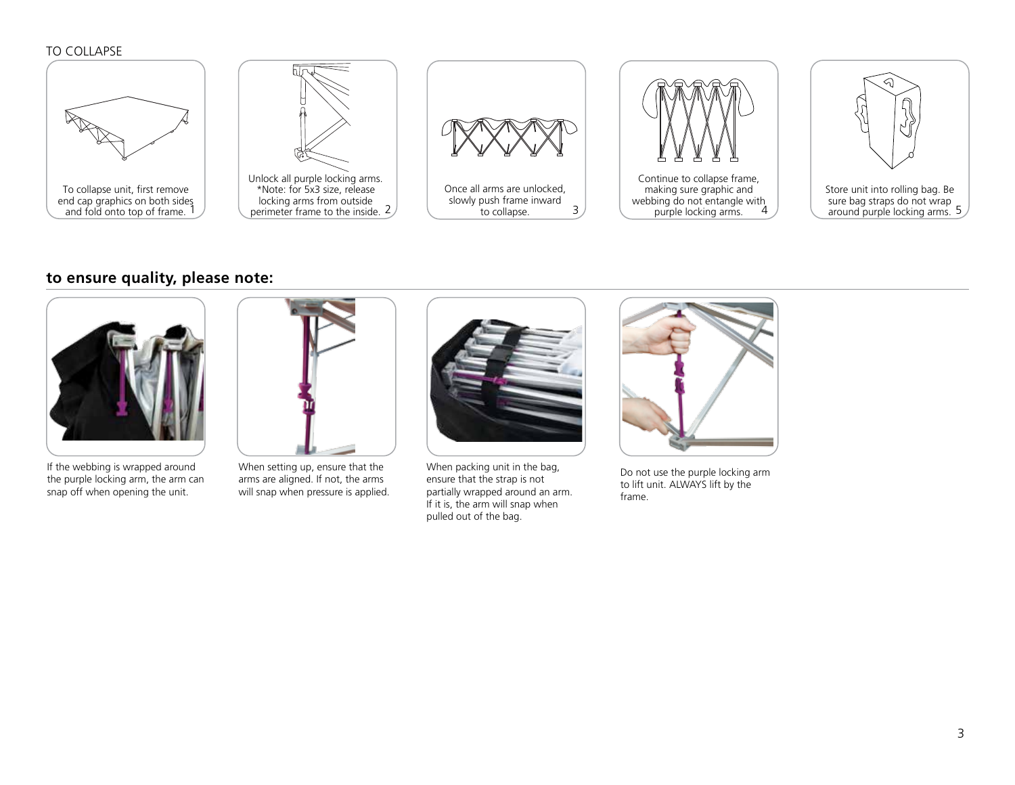#### TO COLLAPSE



### **to ensure quality, please note:**



If the webbing is wrapped around the purple locking arm, the arm can snap off when opening the unit.



When setting up, ensure that the arms are aligned. If not, the arms will snap when pressure is applied.



When packing unit in the bag, ensure that the strap is not partially wrapped around an arm. If it is, the arm will snap when pulled out of the bag.



Do not use the purple locking arm to lift unit. ALWAYS lift by the frame.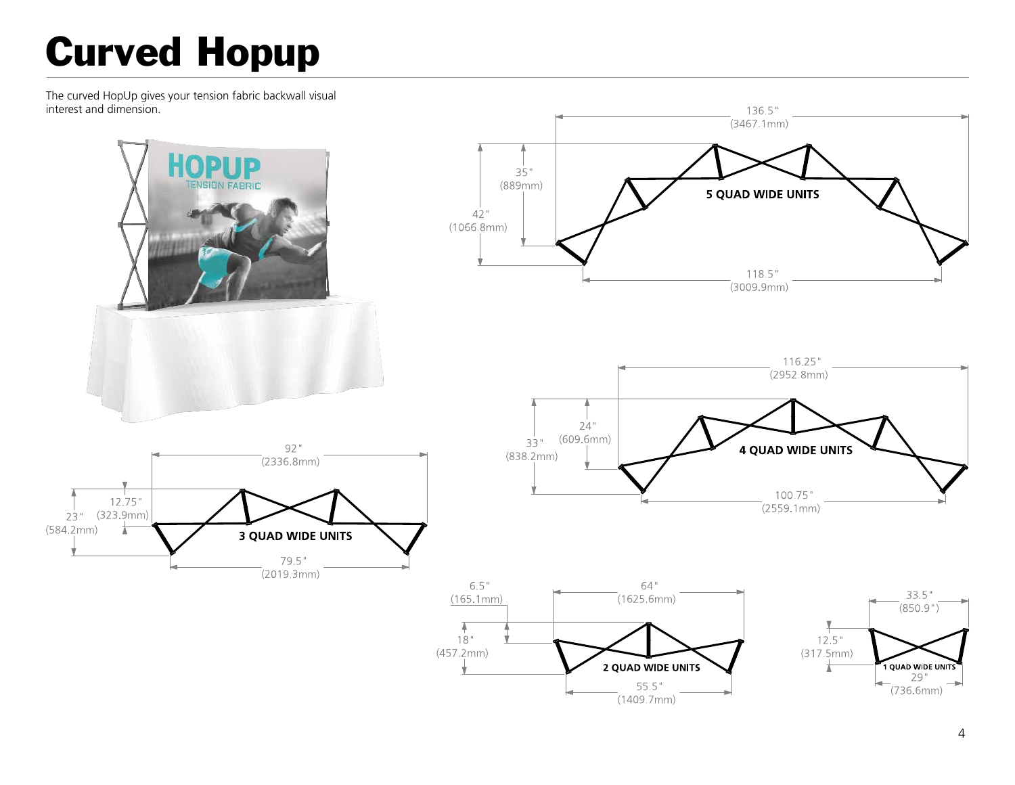# Curved Hopup

The curved HopUp gives your tension fabric backwall visual interest and dimension.

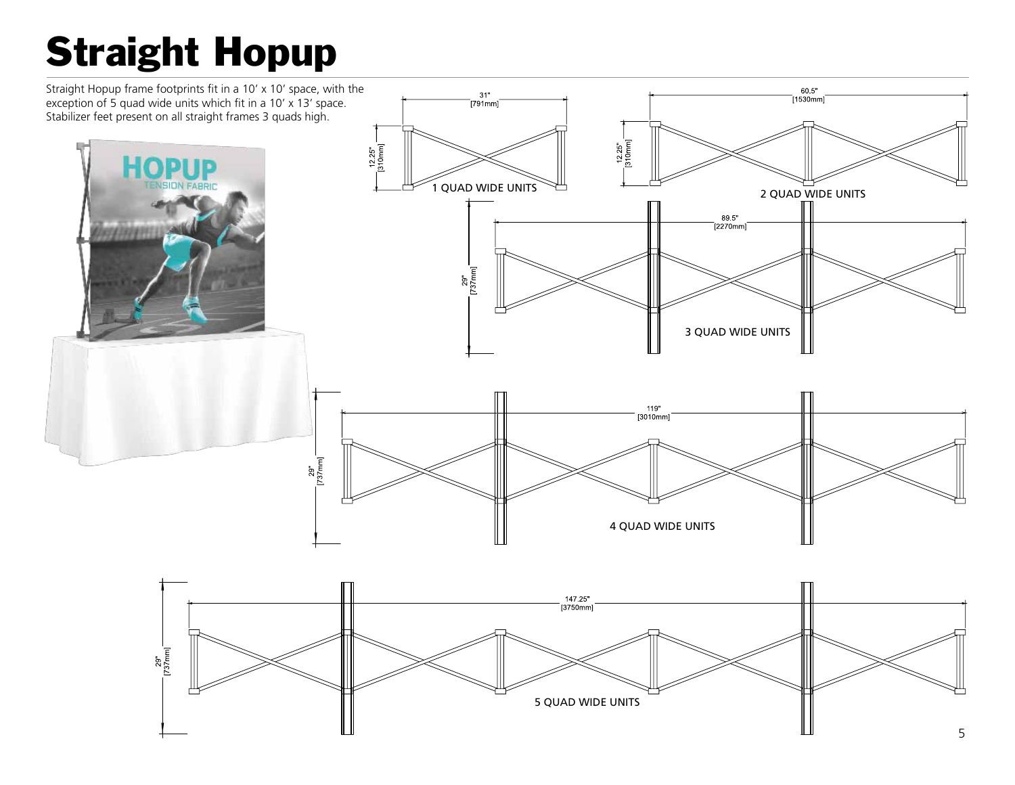# Straight Hopup